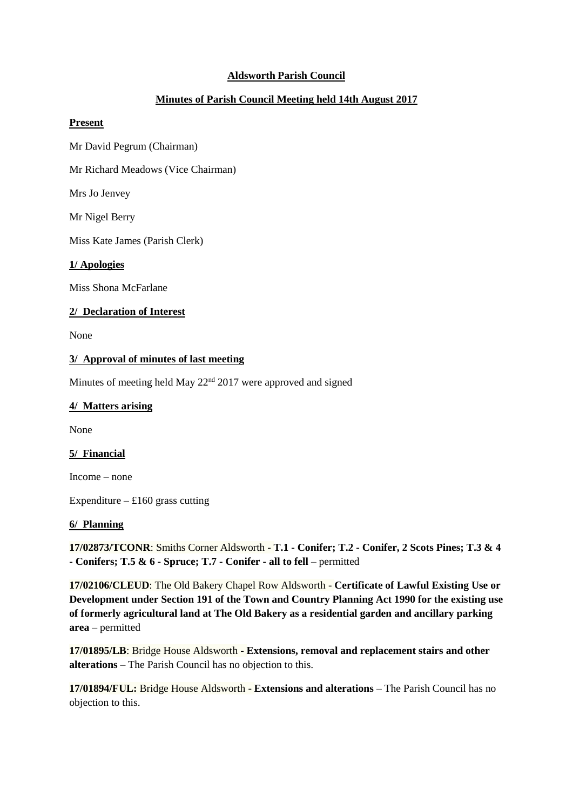# **Aldsworth Parish Council**

# **Minutes of Parish Council Meeting held 14th August 2017**

#### **Present**

Mr David Pegrum (Chairman)

Mr Richard Meadows (Vice Chairman)

Mrs Jo Jenvey

Mr Nigel Berry

Miss Kate James (Parish Clerk)

#### **1/ Apologies**

Miss Shona McFarlane

# **2/ Declaration of Interest**

None

#### **3/ Approval of minutes of last meeting**

Minutes of meeting held May 22<sup>nd</sup> 2017 were approved and signed

### **4/ Matters arising**

None

# **5/ Financial**

Income – none

Expenditure –  $£160$  grass cutting

#### **6/ Planning**

**17/02873/TCONR**: Smiths Corner Aldsworth - **T.1 - Conifer; T.2 - [Conifer, 2 Scots Pines; T.3 & 4](https://publicaccess.cotswold.gov.uk/online-applications/applicationDetails.do?activeTab=summary&keyVal=OSZ10KFI0I100)  - [Conifers; T.5 & 6 -](https://publicaccess.cotswold.gov.uk/online-applications/applicationDetails.do?activeTab=summary&keyVal=OSZ10KFI0I100) Spruce; T.7 - Conifer - all to fell** – permitted

**17/02106/CLEUD**: The Old Bakery Chapel Row Aldsworth - **[Certificate of Lawful Existing Use or](https://publicaccess.cotswold.gov.uk/online-applications/applicationDetails.do?activeTab=summary&keyVal=OQ75R7FI03E00)  [Development under Section 191 of the Town and Country Planning Act 1990 for the existing use](https://publicaccess.cotswold.gov.uk/online-applications/applicationDetails.do?activeTab=summary&keyVal=OQ75R7FI03E00)  [of formerly agricultural land at The Old Bakery as a residential garden and ancillary parking](https://publicaccess.cotswold.gov.uk/online-applications/applicationDetails.do?activeTab=summary&keyVal=OQ75R7FI03E00)  [area](https://publicaccess.cotswold.gov.uk/online-applications/applicationDetails.do?activeTab=summary&keyVal=OQ75R7FI03E00)** – permitted

**17/01895/LB**: Bridge House Aldsworth - **[Extensions, removal and replacement stairs and other](https://publicaccess.cotswold.gov.uk/online-applications/applicationDetails.do?activeTab=summary&keyVal=OPJCALFIFG700)  [alterations](https://publicaccess.cotswold.gov.uk/online-applications/applicationDetails.do?activeTab=summary&keyVal=OPJCALFIFG700)** – The Parish Council has no objection to this.

**17/01894/FUL:** Bridge House Aldsworth - **[Extensions and alterations](https://publicaccess.cotswold.gov.uk/online-applications/applicationDetails.do?activeTab=summary&keyVal=OPJCAIFIFG600)** – The Parish Council has no objection to this.